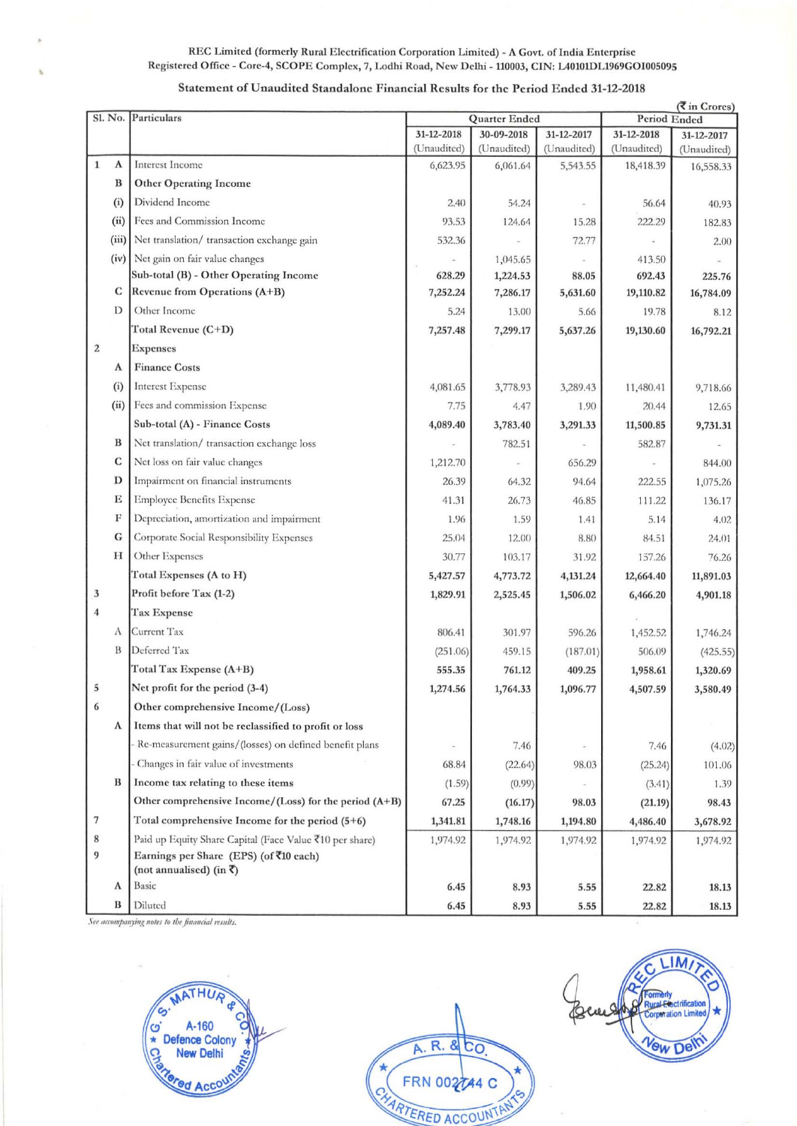## REC Limited (formerly Rural Electrification Corporation Limited) - A Govt. of India Enterprise Registered Office - Core-4, SCOPE Complex, 7, Lodhi Road, New Delhi - 110003, CIN: L40101DL1969GOI005095

## Statement of Unaudited Standalone Financial Results for the Period Ended 31-12-2018

|                  |       |                                                          | $(\overline{\mathbf{\mathcal{R}}}$ in Crores) |                           |                           |                           |                           |
|------------------|-------|----------------------------------------------------------|-----------------------------------------------|---------------------------|---------------------------|---------------------------|---------------------------|
|                  |       | Sl. No. Particulars                                      | Quarter Ended                                 |                           |                           | Period Ended              |                           |
|                  |       |                                                          | 31-12-2018<br>(Unaudited)                     | 30-09-2018<br>(Unaudited) | 31-12-2017<br>(Unaudited) | 31-12-2018<br>(Unaudited) | 31-12-2017<br>(Unaudited) |
| 1                | Α     | Interest Income                                          | 6,623.95                                      | 6,061.64                  | 5,543.55                  | 18,418.39                 | 16,558.33                 |
|                  | B     | <b>Other Operating Income</b>                            |                                               |                           |                           |                           |                           |
|                  | (i)   | Dividend Income                                          | 2.40                                          | 54.24                     |                           | 56.64                     | 40.93                     |
|                  | (ii)  | Fees and Commission Income                               | 93.53                                         | 124.64                    | 15.28                     | 222.29                    | 182.83                    |
|                  | (iii) | Net translation/ transaction exchange gain               | 532.36                                        |                           | 72.77                     |                           | 2.00                      |
|                  | (iv)  | Net gain on fair value changes                           |                                               | 1,045.65                  |                           | 413.50                    |                           |
|                  |       | Sub-total (B) - Other Operating Income                   | 628.29                                        | 1,224.53                  | 88.05                     | 692.43                    | 225.76                    |
|                  | C     | Revenue from Operations (A+B)                            | 7,252.24                                      | 7,286.17                  | 5,631.60                  | 19,110.82                 | 16,784.09                 |
|                  | D     | Other Income                                             | 5.24                                          | 13.00                     | 5.66                      | 19.78                     | 8.12                      |
|                  |       | Total Revenue (C+D)                                      | 7,257.48                                      | 7,299.17                  | 5,637.26                  | 19,130.60                 | 16,792.21                 |
| $\boldsymbol{2}$ |       | <b>Expenses</b>                                          |                                               |                           |                           |                           |                           |
|                  | A     | <b>Finance Costs</b>                                     |                                               |                           |                           |                           |                           |
|                  | (i)   | <b>Interest Expense</b>                                  | 4,081.65                                      | 3,778.93                  | 3,289.43                  | 11,480.41                 | 9,718.66                  |
|                  | (ii)  | Fees and commission Expense                              | 7.75                                          | 4.47                      | 1.90                      | 20.44                     | 12.65                     |
|                  |       | Sub-total (A) - Finance Costs                            | 4,089.40                                      | 3,783.40                  | 3,291.33                  | 11,500.85                 | 9,731.31                  |
|                  | B     | Net translation/ transaction exchange loss               |                                               | 782.51                    |                           | 582.87                    |                           |
|                  | C     | Net loss on fair value changes                           | 1,212.70                                      |                           | 656.29                    |                           | 844.00                    |
|                  | D     | Impairment on financial instruments                      | 26.39                                         | 64.32                     | 94.64                     | 222.55                    | 1,075.26                  |
|                  | Ε     | <b>Employee Benefits Expense</b>                         | 41.31                                         | 26.73                     | 46.85                     | 111.22                    | 136.17                    |
|                  | F     | Depreciation, amortization and impairment                | 1.96                                          | 1.59                      | 1.41                      | 5.14                      | 4.02                      |
|                  | G     | Corporate Social Responsibility Expenses                 | 25.04                                         | 12.00                     | 8.80                      | 84.51                     | 24.01                     |
|                  | H     | Other Expenses                                           | 30.77                                         | 103.17                    | 31.92                     | 157.26                    | 76.26                     |
|                  |       | Total Expenses (A to H)                                  | 5,427.57                                      | 4,773.72                  | 4,131.24                  | 12,664.40                 | 11,891.03                 |
| 3                |       | Profit before Tax (1-2)                                  | 1,829.91                                      | 2,525.45                  | 1,506.02                  | 6,466.20                  | 4,901.18                  |
| $\overline{4}$   |       | Tax Expense                                              |                                               |                           |                           |                           |                           |
|                  | A     | Current Tax                                              | 806.41                                        | 301.97                    | 596.26                    | 1,452.52                  | 1,746.24                  |
|                  | B     | Deferred Tax                                             | (251.06)                                      | 459.15                    | (187.01)                  | 506.09                    | (425.55)                  |
|                  |       | Total Tax Expense $(A+B)$                                | 555.35                                        | 761.12                    | 409.25                    | 1,958.61                  | 1,320.69                  |
| 5                |       | Net profit for the period (3-4)                          | 1,274.56                                      | 1,764.33                  | 1,096.77                  | 4,507.59                  | 3,580.49                  |
| 6                |       | Other comprehensive Income/(Loss)                        |                                               |                           |                           |                           |                           |
|                  | A     | Items that will not be reclassified to profit or loss    |                                               |                           |                           |                           |                           |
|                  |       | Re-measurement gains/(losses) on defined benefit plans   | $\overline{\phantom{a}}$                      | 7.46                      |                           | 7.46                      | (4.02)                    |
|                  |       | Changes in fair value of investments                     | 68.84                                         | (22.64)                   | 98.03                     | (25.24)                   | 101.06                    |
|                  | B     | Income tax relating to these items                       | (1.59)                                        | (0.99)                    |                           | (3.41)                    | 1.39                      |
|                  |       | Other comprehensive Income/(Loss) for the period $(A+B)$ | 67.25                                         | (16.17)                   | 98.03                     | (21.19)                   | 98.43                     |
| 7                |       | Total comprehensive Income for the period (5+6)          | 1,341.81                                      | 1,748.16                  | 1,194.80                  | 4,486.40                  | 3,678.92                  |
| 8                |       | Paid up Equity Share Capital (Face Value ₹10 per share)  | 1,974.92                                      | 1,974.92                  | 1,974.92                  | 1,974.92                  | 1,974.92                  |
| 9                |       | Earnings per Share (EPS) (of ₹10 each)                   |                                               |                           |                           |                           |                           |
|                  |       | (not annualised) (in ₹)                                  |                                               |                           |                           |                           |                           |
|                  | A     | Basic                                                    | 6.45                                          | 8.93                      | 5.55                      | 22.82                     | 18.13                     |
|                  | B     | Diluted                                                  | 6.45                                          | 8.93                      | 5.55                      | 22.82                     | 18.13                     |

See accompanying notes to the financial results.